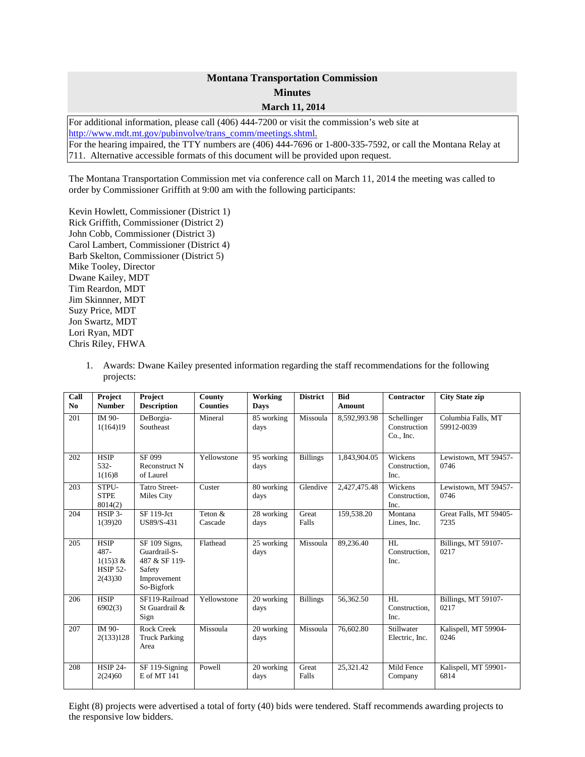## **Montana Transportation Commission Minutes March 11, 2014**

For additional information, please call (406) 444-7200 or visit the commission's web site at [http://www.mdt.mt.gov/pubinvolve/trans\\_comm/meetings.shtml.](http://www.mdt.mt.gov/pubinvolve/trans_comm/meetings.shtml) For the hearing impaired, the TTY numbers are (406) 444-7696 or 1-800-335-7592, or call the Montana Relay at 711. Alternative accessible formats of this document will be provided upon request.

The Montana Transportation Commission met via conference call on March 11, 2014 the meeting was called to order by Commissioner Griffith at 9:00 am with the following participants:

Kevin Howlett, Commissioner (District 1) Rick Griffith, Commissioner (District 2) John Cobb, Commissioner (District 3) Carol Lambert, Commissioner (District 4) Barb Skelton, Commissioner (District 5) Mike Tooley, Director Dwane Kailey, MDT Tim Reardon, MDT Jim Skinnner, MDT Suzy Price, MDT Jon Swartz, MDT Lori Ryan, MDT Chris Riley, FHWA

1. Awards: Dwane Kailey presented information regarding the staff recommendations for the following projects:

| Call<br>N <sub>0</sub> | Project<br><b>Number</b>                                      | Project<br><b>Description</b>                                                                             | County<br><b>Counties</b> | Working<br><b>Days</b> | <b>District</b> | <b>Bid</b><br><b>Amount</b> | <b>Contractor</b>                        | <b>City State zip</b>            |
|------------------------|---------------------------------------------------------------|-----------------------------------------------------------------------------------------------------------|---------------------------|------------------------|-----------------|-----------------------------|------------------------------------------|----------------------------------|
| 201                    | IM 90-<br>1(164)19                                            | DeBorgia-<br>Southeast                                                                                    | Mineral                   | 85 working<br>days     | Missoula        | 8,592,993.98                | Schellinger<br>Construction<br>Co., Inc. | Columbia Falls, MT<br>59912-0039 |
| 202                    | <b>HSIP</b><br>$532 -$<br>1(16)8                              | SF 099<br>Reconstruct N<br>of Laurel                                                                      | Yellowstone               | 95 working<br>days     | <b>Billings</b> | 1,843,904.05                | Wickens<br>Construction.<br>Inc.         | Lewistown, MT 59457-<br>0746     |
| 203                    | STPU-<br><b>STPE</b><br>8014(2)                               | <b>Tatro Street-</b><br>Miles City                                                                        | Custer                    | 80 working<br>days     | Glendive        | 2,427,475.48                | Wickens<br>Construction.<br>Inc.         | Lewistown, MT 59457-<br>0746     |
| 204                    | HSIP 3-<br>1(39)20                                            | SF 119-Jct<br>US89/S-431                                                                                  | Teton &<br>Cascade        | 28 working<br>days     | Great<br>Falls  | 159,538.20                  | Montana<br>Lines, Inc.                   | Great Falls, MT 59405-<br>7235   |
| 205                    | <b>HSIP</b><br>487-<br>1(15)3 &<br><b>HSIP 52-</b><br>2(43)30 | $\overline{\text{SF}}$ 109 Signs,<br>Guardrail-S-<br>487 & SF 119-<br>Safety<br>Improvement<br>So-Bigfork | Flathead                  | 25 working<br>days     | Missoula        | 89,236.40                   | HI.<br>Construction.<br>Inc.             | Billings, MT 59107-<br>0217      |
| 206                    | <b>HSIP</b><br>6902(3)                                        | SF119-Railroad<br>St Guardrail &<br>Sign                                                                  | Yellowstone               | 20 working<br>days     | <b>Billings</b> | 56,362.50                   | HI.<br>Construction.<br>Inc.             | Billings, MT 59107-<br>0217      |
| 207                    | IM 90-<br>2(133)128                                           | <b>Rock Creek</b><br><b>Truck Parking</b><br>Area                                                         | Missoula                  | 20 working<br>days     | Missoula        | 76,602.80                   | Stillwater<br>Electric, Inc.             | Kalispell, MT 59904-<br>0246     |
| 208                    | <b>HSIP 24-</b><br>2(24)60                                    | SF 119-Signing<br>E of MT 141                                                                             | Powell                    | 20 working<br>days     | Great<br>Falls  | 25,321.42                   | Mild Fence<br>Company                    | Kalispell, MT 59901-<br>6814     |

Eight (8) projects were advertised a total of forty (40) bids were tendered. Staff recommends awarding projects to the responsive low bidders.